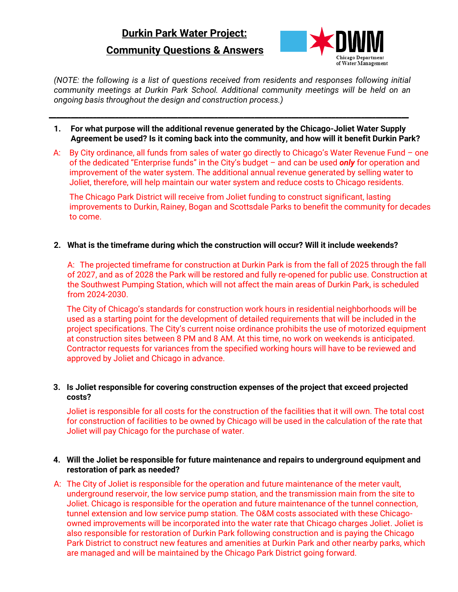# **Durkin Park Water Project:**

# **Community Questions & Answers**



*(NOTE: the following is a list of questions received from residents and responses following initial community meetings at Durkin Park School. Additional community meetings will be held on an ongoing basis throughout the design and construction process.)*

**\_\_\_\_\_\_\_\_\_\_\_\_\_\_\_\_\_\_\_\_\_\_\_\_\_\_\_\_\_\_\_\_\_\_\_\_\_\_\_\_\_\_\_\_\_\_\_\_\_\_\_\_\_\_\_\_\_\_\_\_\_\_\_\_\_\_\_\_\_\_\_\_\_\_\_\_\_\_\_\_\_\_\_\_\_\_\_\_\_\_\_\_\_\_\_\_\_\_**

- **1. For what purpose will the additional revenue generated by the Chicago-Joliet Water Supply Agreement be used? Is it coming back into the community, and how will it benefit Durkin Park?**
- A: By City ordinance, all funds from sales of water go directly to Chicago's Water Revenue Fund one of the dedicated "Enterprise funds" in the City's budget – and can be used *only* for operation and improvement of the water system. The additional annual revenue generated by selling water to Joliet, therefore, will help maintain our water system and reduce costs to Chicago residents.

The Chicago Park District will receive from Joliet funding to construct significant, lasting improvements to Durkin, Rainey, Bogan and Scottsdale Parks to benefit the community for decades to come.

**2. What is the timeframe during which the construction will occur? Will it include weekends?**

A: The projected timeframe for construction at Durkin Park is from the fall of 2025 through the fall of 2027, and as of 2028 the Park will be restored and fully re-opened for public use. Construction at the Southwest Pumping Station, which will not affect the main areas of Durkin Park, is scheduled from 2024-2030.

The City of Chicago's standards for construction work hours in residential neighborhoods will be used as a starting point for the development of detailed requirements that will be included in the project specifications. The City's current noise ordinance prohibits the use of motorized equipment at construction sites between 8 PM and 8 AM. At this time, no work on weekends is anticipated. Contractor requests for variances from the specified working hours will have to be reviewed and approved by Joliet and Chicago in advance.

## **3. Is Joliet responsible for covering construction expenses of the project that exceed projected costs?**

Joliet is responsible for all costs for the construction of the facilities that it will own. The total cost for construction of facilities to be owned by Chicago will be used in the calculation of the rate that Joliet will pay Chicago for the purchase of water.

## **4. Will the Joliet be responsible for future maintenance and repairs to underground equipment and restoration of park as needed?**

A: The City of Joliet is responsible for the operation and future maintenance of the meter vault, underground reservoir, the low service pump station, and the transmission main from the site to Joliet. Chicago is responsible for the operation and future maintenance of the tunnel connection, tunnel extension and low service pump station. The O&M costs associated with these Chicagoowned improvements will be incorporated into the water rate that Chicago charges Joliet. Joliet is also responsible for restoration of Durkin Park following construction and is paying the Chicago Park District to construct new features and amenities at Durkin Park and other nearby parks, which are managed and will be maintained by the Chicago Park District going forward.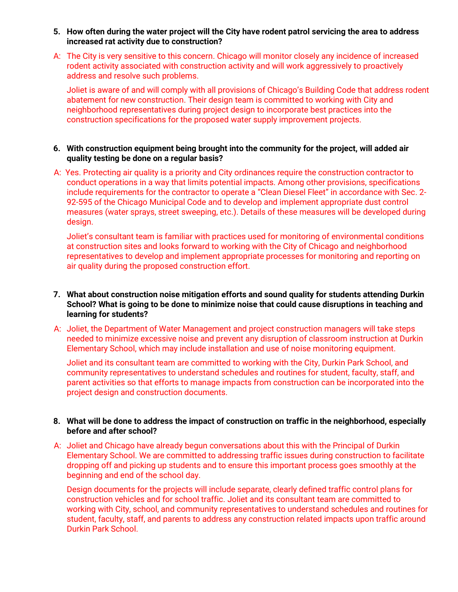- **5. How often during the water project will the City have rodent patrol servicing the area to address increased rat activity due to construction?**
- A: The City is very sensitive to this concern. Chicago will monitor closely any incidence of increased rodent activity associated with construction activity and will work aggressively to proactively address and resolve such problems.

Joliet is aware of and will comply with all provisions of Chicago's Building Code that address rodent abatement for new construction. Their design team is committed to working with City and neighborhood representatives during project design to incorporate best practices into the construction specifications for the proposed water supply improvement projects.

### **6. With construction equipment being brought into the community for the project, will added air quality testing be done on a regular basis?**

A: Yes. Protecting air quality is a priority and City ordinances require the construction contractor to conduct operations in a way that limits potential impacts. Among other provisions, specifications include requirements for the contractor to operate a "Clean Diesel Fleet" in accordance with Sec. 2- 92-595 of the Chicago Municipal Code and to develop and implement appropriate dust control measures (water sprays, street sweeping, etc.). Details of these measures will be developed during design.

Joliet's consultant team is familiar with practices used for monitoring of environmental conditions at construction sites and looks forward to working with the City of Chicago and neighborhood representatives to develop and implement appropriate processes for monitoring and reporting on air quality during the proposed construction effort.

- **7. What about construction noise mitigation efforts and sound quality for students attending Durkin School? What is going to be done to minimize noise that could cause disruptions in teaching and learning for students?**
- A: Joliet, the Department of Water Management and project construction managers will take steps needed to minimize excessive noise and prevent any disruption of classroom instruction at Durkin Elementary School, which may include installation and use of noise monitoring equipment.

Joliet and its consultant team are committed to working with the City, Durkin Park School, and community representatives to understand schedules and routines for student, faculty, staff, and parent activities so that efforts to manage impacts from construction can be incorporated into the project design and construction documents.

#### **8. What will be done to address the impact of construction on traffic in the neighborhood, especially before and after school?**

A: Joliet and Chicago have already begun conversations about this with the Principal of Durkin Elementary School. We are committed to addressing traffic issues during construction to facilitate dropping off and picking up students and to ensure this important process goes smoothly at the beginning and end of the school day.

Design documents for the projects will include separate, clearly defined traffic control plans for construction vehicles and for school traffic. Joliet and its consultant team are committed to working with City, school, and community representatives to understand schedules and routines for student, faculty, staff, and parents to address any construction related impacts upon traffic around Durkin Park School.